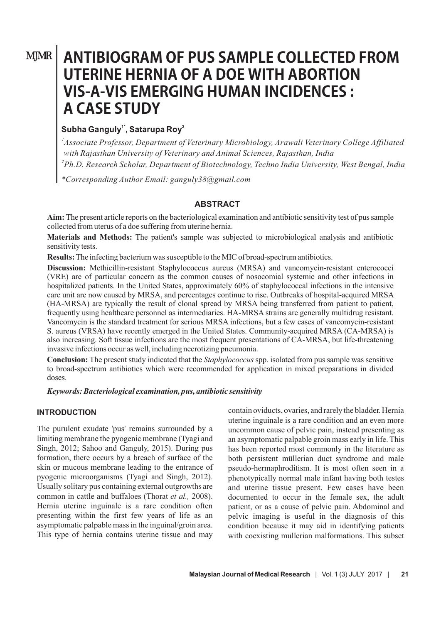# **MJMR**

# **ANTIBIOGRAM OF PUS SAMPLE COLLECTED FROM UTERINE HERNIA OF A DOE WITH ABORTION VIS-A-VIS EMERGING HUMAN INCIDENCES: ACASESTUDY**

# **1\* <sup>2</sup> Subha Ganguly , Satarupa Roy**

*1 Associate Professor, Department of Veterinary Microbiology, Arawali Veterinary College Affiliated with Rajasthan University of Veterinary and Animal Sciences, Rajasthan, India*

*2 Ph.D. Research Scholar, Department of Biotechnology, Techno India University, West Bengal, India*

*\*Corresponding Author Email: ganguly38@gmail.com*

#### **ABSTRACT**

**Aim:** The present article reports on the bacteriological examination and antibiotic sensitivity test of pus sample collected from uterus of a doe suffering from uterine hernia.

**Materials and Methods:** The patient's sample was subjected to microbiological analysis and antibiotic sensitivity tests.

**Results:**The infecting bacterium was susceptible to the MIC of broad-spectrum antibiotics.

**Discussion:** Methicillin-resistant Staphylococcus aureus (MRSA) and vancomycin-resistant enterococci (VRE) are of particular concern as the common causes of nosocomial systemic and other infections in hospitalized patients. In the United States, approximately 60% of staphylococcal infections in the intensive care unit are now caused by MRSA, and percentages continue to rise. Outbreaks of hospital-acquired MRSA (HA-MRSA) are typically the result of clonal spread by MRSA being transferred from patient to patient, frequently using healthcare personnel as intermediaries. HA-MRSA strains are generally multidrug resistant. Vancomycin is the standard treatment for serious MRSA infections, but a few cases of vancomycin-resistant S. aureus (VRSA) have recently emerged in the United States. Community-acquired MRSA (CA-MRSA) is also increasing. Soft tissue infections are the most frequent presentations of CA-MRSA, but life-threatening invasive infections occur as well, including necrotizing pneumonia.

**Conclusion:** The present study indicated that the *Staphylococcus* spp. isolated from pus sample was sensitive to broad-spectrum antibiotics which were recommended for application in mixed preparations in divided doses.

*Keywords: Bacteriological examination, pus, antibiotic sensitivity*

#### **INTRODUCTION**

The purulent exudate 'pus' remains surrounded by a limiting membrane the pyogenic membrane (Tyagi and Singh, 2012; Sahoo and Ganguly, 2015). During pus formation, there occurs by a breach of surface of the skin or mucous membrane leading to the entrance of pyogenic microorganisms (Tyagi and Singh, 2012). Usually solitary pus containing external outgrowths are common in cattle and buffaloes (Thorat *et al.,* 2008). Hernia uterine inguinale is a rare condition often presenting within the first few years of life as an asymptomatic palpable mass in the inguinal/groin area. This type of hernia contains uterine tissue and may contain oviducts, ovaries, and rarely the bladder. Hernia uterine inguinale is a rare condition and an even more uncommon cause of pelvic pain, instead presenting as an asymptomatic palpable groin mass early in life. This has been reported most commonly in the literature as both persistent müllerian duct syndrome and male pseudo-hermaphroditism. It is most often seen in a phenotypically normal male infant having both testes and uterine tissue present. Few cases have been documented to occur in the female sex, the adult patient, or as a cause of pelvic pain. Abdominal and pelvic imaging is useful in the diagnosis of this condition because it may aid in identifying patients with coexisting mullerian malformations. This subset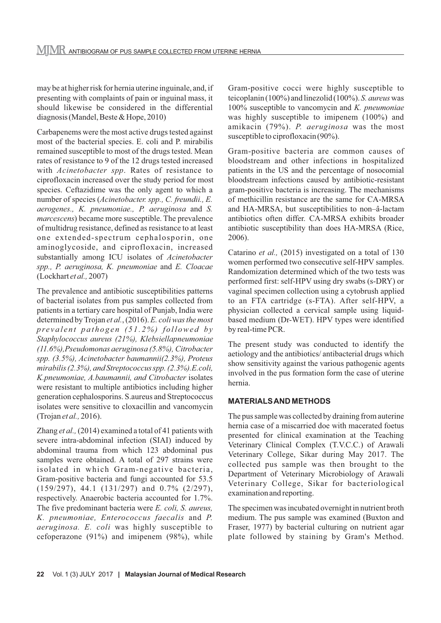may be at higher risk for hernia uterine inguinale, and, if presenting with complaints of pain or inguinal mass, it should likewise be considered in the differential diagnosis (Mandel, Beste & Hope, 2010)

Carbapenems were the most active drugs tested against most of the bacterial species. E. coli and P. mirabilis remained susceptible to most of the drugs tested. Mean rates of resistance to 9 of the 12 drugs tested increased with *Acinetobacter spp*. Rates of resistance to ciprofloxacin increased over the study period for most species. Ceftazidime was the only agent to which a number of species (*Acinetobacter. spp., C. freundii., E. aerogenes., K. pneumoniae., P. aeruginosa* and *S. marcescens*) became more susceptible. The prevalence of multidrug resistance, defined as resistance to at least one extended-spectrum cephalosporin, one aminoglycoside, and ciprofloxacin, increased substantially among ICU isolates of *Acinetobacter spp., P. aeruginosa, K. pneumoniae* and *E. Cloacae* (Lockhart *et al.,* 2007)

The prevalence and antibiotic susceptibilities patterns of bacterial isolates from pus samples collected from patients in a tertiary care hospital of Punjab, India were determined by Trojan *et al.*, (2016). *E. coli was the most*  prevalent pathogen (51.2%) followed by *Staphylococcus aureus (21%), Klebsiellapneumoniae (11.6%),Pseudomonas aeruginosa (5.8%), Citrobacter spp. (3.5%), Acinetobacter baumannii(2.3%), Proteus mirabilis (2.3%), and Streptococcus spp. (2.3%).E.coli, K.pneumoniae, A.baumannii, and Citrobacter* isolates were resistant to multiple antibiotics including higher generation cephalosporins. S.aureus and Streptococcus isolates were sensitive to cloxacillin and vancomycin (Trojan *et al.,* 2016).

Zhang *et al.,* (2014) examined a total of 41 patients with severe intra-abdominal infection (SIAI) induced by abdominal trauma from which 123 abdominal pus samples were obtained. A total of 297 strains were isolated in which Gram-negative bacteria, Gram-positive bacteria and fungi accounted for 53.5 (159/297), 44.1 (131/297) and 0.7% (2/297), respectively. Anaerobic bacteria accounted for 1.7%. The five predominant bacteria were *E. coli, S. aureus, K. pneumoniae, Enterococcus faecalis* and *P. aeruginosa. E. coli* was highly susceptible to cefoperazone (91%) and imipenem (98%), while Gram-positive cocci were highly susceptible to teicoplanin (100%) and linezolid (100%). *S. aureus* was 100% susceptible to vancomycin and *K. pneumoniae* was highly susceptible to imipenem (100%) and amikacin (79%). *P. aeruginosa* was the most susceptible to ciprofloxacin (90%).

Gram-positive bacteria are common causes of bloodstream and other infections in hospitalized patients in the US and the percentage of nosocomial bloodstream infections caused by antibiotic-resistant gram-positive bacteria is increasing. The mechanisms of methicillin resistance are the same for CA-MRSA and HA-MRSA, but susceptibilities to non–â-lactam antibiotics often differ. CA-MRSA exhibits broader antibiotic susceptibility than does HA-MRSA (Rice, 2006).

Catarino *et al.,* (2015) investigated on a total of 130 women performed two consecutive self-HPV samples. Randomization determined which of the two tests was performed first: self-HPV using dry swabs (s-DRY) or vaginal specimen collection using a cytobrush applied to an FTA cartridge (s-FTA). After self-HPV, a physician collected a cervical sample using liquidbased medium (Dr-WET). HPV types were identified by real-time PCR.

The present study was conducted to identify the aetiology and the antibiotics/ antibacterial drugs which show sensitivity against the various pathogenic agents involved in the pus formation form the case of uterine hernia.

#### **MATERIALS AND METHODS**

The pus sample was collected by draining from auterine hernia case of a miscarried doe with macerated foetus presented for clinical examination at the Teaching Veterinary Clinical Complex (T.V.C.C.) of Arawali Veterinary College, Sikar during May 2017. The collected pus sample was then brought to the Department of Veterinary Microbiology of Arawali Veterinary College, Sikar for bacteriological examination and reporting.

The specimen was incubated overnight in nutrient broth medium. The pus sample was examined (Buxton and Fraser, 1977) by bacterial culturing on nutrient agar plate followed by staining by Gram's Method.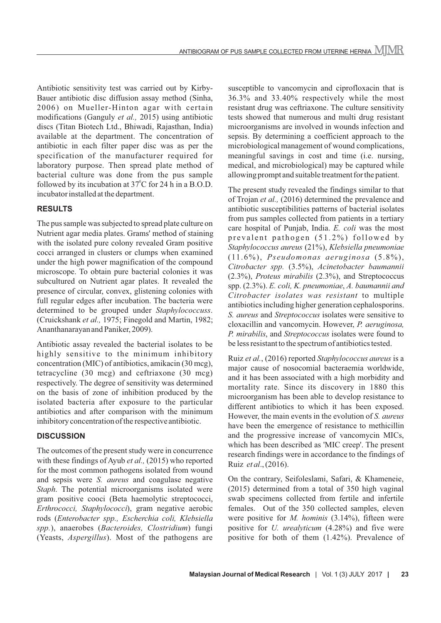Antibiotic sensitivity test was carried out by Kirby-Bauer antibiotic disc diffusion assay method (Sinha, 2006) on Mueller-Hinton agar with certain modifications (Ganguly *et al.,* 2015) using antibiotic discs (Titan Biotech Ltd., Bhiwadi, Rajasthan, India) available at the department. The concentration of antibiotic in each filter paper disc was as per the specification of the manufacturer required for laboratory purpose. Then spread plate method of bacterial culture was done from the pus sample followed by its incubation at  $37^{\circ}$ C for 24 h in a B.O.D. incubator installed at the department.

#### **RESULTS**

The pus sample was subjected to spread plate culture on Nutrient agar media plates. Grams' method of staining with the isolated pure colony revealed Gram positive cocci arranged in clusters or clumps when examined under the high power magnification of the compound microscope. To obtain pure bacterial colonies it was subcultured on Nutrient agar plates. It revealed the presence of circular, convex, glistening colonies with full regular edges after incubation. The bacteria were determined to be grouped under *Staphylococcuss*. (Cruickshank *et al.,* 1975; Finegold and Martin, 1982; Ananthanarayan and Paniker, 2009).

Antibiotic assay revealed the bacterial isolates to be highly sensitive to the minimum inhibitory concentration (MIC) of antibiotics, amikacin (30 mcg), tetracycline (30 mcg) and ceftriaxone (30 mcg) respectively. The degree of sensitivity was determined on the basis of zone of inhibition produced by the isolated bacteria after exposure to the particular antibiotics and after comparison with the minimum inhibitory concentration of the respective antibiotic.

#### **DISCUSSION**

The outcomes of the present study were in concurrence with these findings of Ayub *et al.,* (2015) who reported for the most common pathogens isolated from wound and sepsis were *S. aureus* and coagulase negative *Staph*. The potential microorganisms isolated were gram positive cooci (Beta haemolytic streptococci, *Erthrococci, Staphylococci*), gram negative aerobic rods (*Enterobacter spp., Escherchia coli, Klebsiella spp.*), anaerobes (*Bacteroides, Clostridium*) fungi (Yeasts, *Aspergillus*). Most of the pathogens are

susceptible to vancomycin and ciprofloxacin that is 36.3% and 33.40% respectively while the most resistant drug was ceftriaxone. The culture sensitivity tests showed that numerous and multi drug resistant microorganisms are involved in wounds infection and sepsis. By determining a coefficient approach to the microbiological management of wound complications, meaningful savings in cost and time (i.e. nursing, medical, and microbiological) may be captured while allowing prompt and suitable treatment for the patient.

The present study revealed the findings similar to that of Trojan *et al.,* (2016) determined the prevalence and antibiotic susceptibilities patterns of bacterial isolates from pus samples collected from patients in a tertiary care hospital of Punjab, India. *E. coli* was the most prevalent pathogen (51.2%) followed by *Staphylococcus aureus* (21%), *Klebsiella pneumoniae* (11.6%), *Pseudomonas aeruginosa* (5.8%), *Citrobacter spp.* (3.5%), *Acinetobacter baumannii* (2.3%), *Proteus mirabilis* (2.3%), and Streptococcus spp. (2.3%). *E. coli, K. pneumoniae*, *A. baumannii and Citrobacter isolates was resistant* to multiple antibiotics including higher generation cephalosporins. *S. aureus* and *Streptococcus* isolates were sensitive to cloxacillin and vancomycin. However, *P. aeruginosa, P. mirabilis*, and *Streptococcus* isolates were found to be less resistant to the spectrum of antibiotics tested.

Ruiz *et al.*, (2016) reported *Staphylococcus aureus* is a major cause of nosocomial bacteraemia worldwide, and it has been associated with a high morbidity and mortality rate. Since its discovery in 1880 this microorganism has been able to develop resistance to different antibiotics to which it has been exposed. However, the main events in the evolution of *S. aureus* have been the emergence of resistance to methicillin and the progressive increase of vancomycin MICs, which has been described as 'MIC creep'. The present research findings were in accordance to the findings of Ruiz *et al*., (2016).

On the contrary, Seifoleslami, Safari, & Khameneie, (2015) determined from a total of 350 high vaginal swab specimens collected from fertile and infertile females. Out of the 350 collected samples, eleven were positive for *M. hominis* (3.14%), fifteen were positive for *U. urealyticum* (4.28%) and five were positive for both of them (1.42%). Prevalence of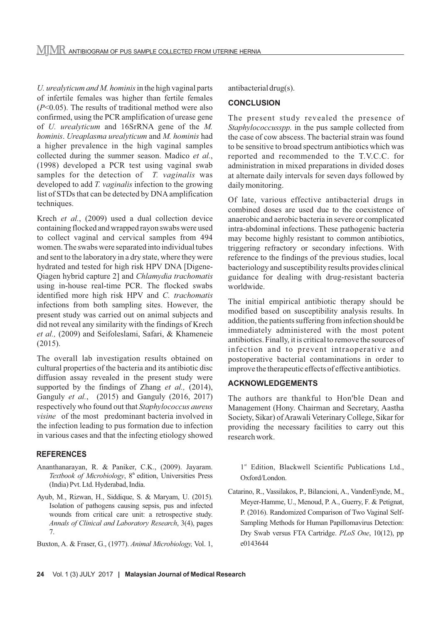*U. urealyticum and M. hominis* in the high vaginal parts of infertile females was higher than fertile females (*P*<0.05). The results of traditional method were also confirmed, using the PCR amplification of urease gene of *U. urealyticum* and 16SrRNA gene of the *M. hominis*. *Ureaplasma urealyticum* and *M. hominis* had a higher prevalence in the high vaginal samples collected during the summer season. Madico *et al.*, (1998) developed a PCR test using vaginal swab samples for the detection of *T. vaginalis* was developed to add *T. vaginalis* infection to the growing list of STDs that can be detected by DNA amplification techniques.

Krech *et al.*, (2009) used a dual collection device containing flocked and wrapped rayon swabs were used to collect vaginal and cervical samples from 494 women. The swabs were separated into individual tubes and sent to the laboratory in a dry state, where they were hydrated and tested for high risk HPV DNA [Digene-Qiagen hybrid capture 2] and *Chlamydia trachomatis* using in-house real-time PCR. The flocked swabs identified more high risk HPV and *C. trachomatis* infections from both sampling sites. However, the present study was carried out on animal subjects and did not reveal any similarity with the findings of Krech *et al.,* (2009) and Seifoleslami, Safari, & Khameneie (2015).

The overall lab investigation results obtained on cultural properties of the bacteria and its antibiotic disc diffusion assay revealed in the present study were supported by the findings of Zhang *et al.,* (2014), Ganguly *et al.*, (2015) and Ganguly (2016, 2017) respectively who found out that *Staphylococcus aureus visine* of the most predominant bacteria involved in the infection leading to pus formation due to infection in various cases and that the infecting etiology showed

# **REFERENCES**

- Ananthanarayan, R. & Paniker, C.K., (2009). Jayaram. Textbook of Microbiology, 8<sup>th</sup> edition, Universities Press (India) Pvt. Ltd. Hyderabad, India.
- Ayub, M., Rizwan, H., Siddique, S. & Maryam, U. (2015). Isolation of pathogens causing sepsis, pus and infected wounds from critical care unit: a retrospective study. *Annals of Clinical and Laboratory Research*, 3(4), pages 7.
- Buxton, A. & Fraser, G., (1977). *Animal Microbiology,* Vol. 1,

antibacterial drug(s).

# **CONCLUSION**

The present study revealed the presence of *Staphylococcusspp*. in the pus sample collected from the case of cow abscess. The bacterial strain was found to be sensitive to broad spectrum antibiotics which was reported and recommended to the T.V.C.C. for administration in mixed preparations in divided doses at alternate daily intervals for seven days followed by daily monitoring.

Of late, various effective antibacterial drugs in combined doses are used due to the coexistence of anaerobic and aerobic bacteria in severe or complicated intra-abdominal infections. These pathogenic bacteria may become highly resistant to common antibiotics, triggering refractory or secondary infections. With reference to the findings of the previous studies, local bacteriology and susceptibility results provides clinical guidance for dealing with drug-resistant bacteria worldwide.

The initial empirical antibiotic therapy should be modified based on susceptibility analysis results. In addition, the patients suffering from infection should be immediately administered with the most potent antibiotics. Finally, it is critical to remove the sources of infection and to prevent intraoperative and postoperative bacterial contaminations in order to improve the therapeutic effects of effective antibiotics.

# **ACKNOWLEDGEMENTS**

The authors are thankful to Hon'ble Dean and Management (Hony. Chairman and Secretary, Aastha Society, Sikar) of Arawali Veterinary College, Sikar for providing the necessary facilities to carry out this research work.

1<sup>st</sup> Edition, Blackwell Scientific Publications Ltd., Oxford/London.

Catarino, R., Vassilakos, P., Bilancioni, A., VandenEynde, M., Meyer-Hamme, U., Menoud, P. A., Guerry, F. & Petignat, P. (2016). Randomized Comparison of Two Vaginal Self-Sampling Methods for Human Papillomavirus Detection: Dry Swab versus FTA Cartridge. *PLoS One*, 10(12), pp e0143644